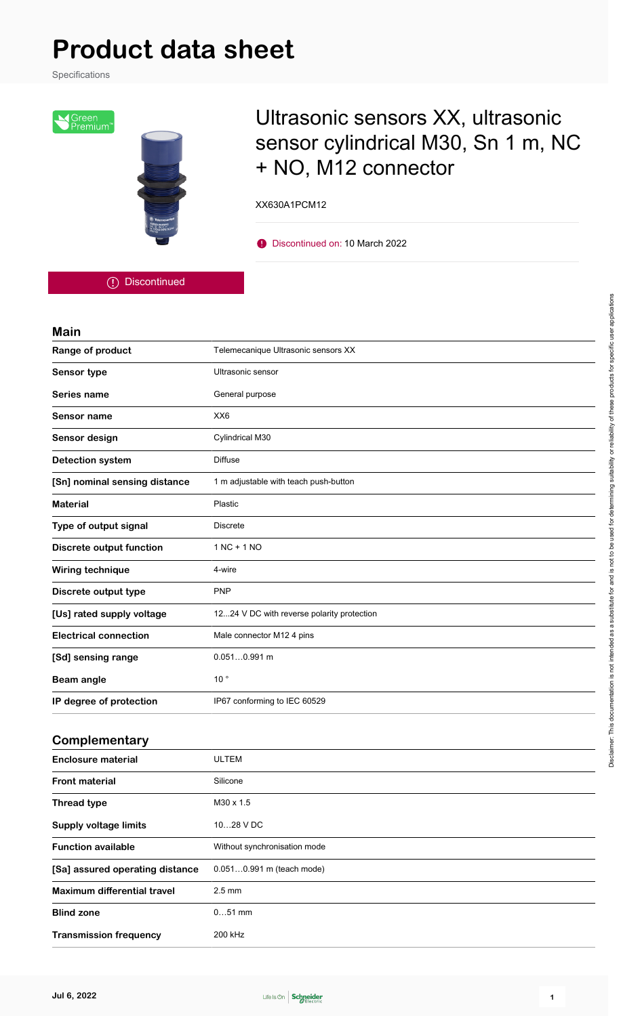Specifications



# Ultrasonic sensors XX, ultrasonic sensor cylindrical M30, Sn 1 m, NC + NO, M12 connector

XX630A1PCM12

**D** Discontinued on: 10 March 2022

Discontinued

#### **Main**

| Sensor type                     | Ultrasonic sensor                          |  |
|---------------------------------|--------------------------------------------|--|
| Series name                     | General purpose                            |  |
| <b>Sensor name</b>              | XX6                                        |  |
| Sensor design                   | Cylindrical M30                            |  |
| <b>Detection system</b>         | <b>Diffuse</b>                             |  |
| [Sn] nominal sensing distance   | 1 m adjustable with teach push-button      |  |
| <b>Material</b>                 | Plastic                                    |  |
| Type of output signal           | <b>Discrete</b>                            |  |
| <b>Discrete output function</b> | $1 NC + 1 NO$                              |  |
| Wiring technique                | 4-wire                                     |  |
| Discrete output type            | <b>PNP</b>                                 |  |
| [Us] rated supply voltage       | 1224 V DC with reverse polarity protection |  |
| <b>Electrical connection</b>    | Male connector M12 4 pins                  |  |
| [Sd] sensing range              | $0.0510.991$ m                             |  |
| <b>Beam angle</b>               | 10 <sup>°</sup>                            |  |
| IP degree of protection         | IP67 conforming to IEC 60529               |  |

#### **Complementary**

| <b>Enclosure material</b>       | <b>ULTEM</b>                 |
|---------------------------------|------------------------------|
| <b>Front material</b>           | Silicone                     |
| <b>Thread type</b>              | $M30 \times 1.5$             |
| <b>Supply voltage limits</b>    | 1028 V DC                    |
| <b>Function available</b>       | Without synchronisation mode |
| [Sa] assured operating distance | 0.0510.991 m (teach mode)    |
| Maximum differential travel     | $2.5 \text{ mm}$             |
| <b>Blind zone</b>               | $051$ mm                     |
| <b>Transmission frequency</b>   | 200 kHz                      |

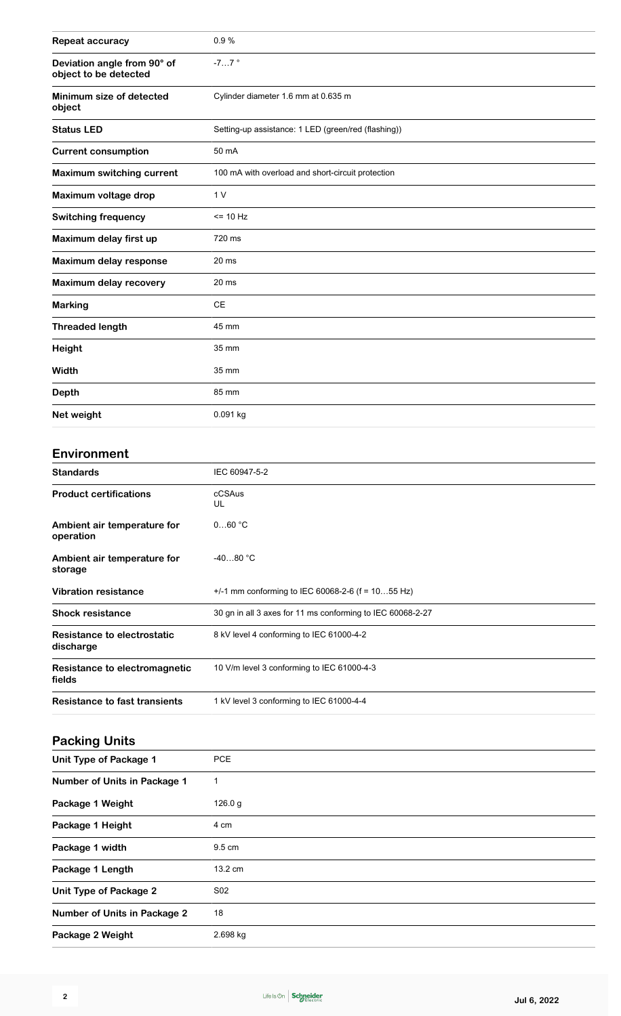| <b>Repeat accuracy</b>                               | 0.9%                                                       |
|------------------------------------------------------|------------------------------------------------------------|
| Deviation angle from 90° of<br>object to be detected | $-77$ $^{\circ}$                                           |
| Minimum size of detected<br>object                   | Cylinder diameter 1.6 mm at 0.635 m                        |
| <b>Status LED</b>                                    | Setting-up assistance: 1 LED (green/red (flashing))        |
| <b>Current consumption</b>                           | 50 mA                                                      |
| <b>Maximum switching current</b>                     | 100 mA with overload and short-circuit protection          |
| Maximum voltage drop                                 | 1 <sub>V</sub>                                             |
| <b>Switching frequency</b>                           | $= 10 Hz$                                                  |
| Maximum delay first up                               | 720 ms                                                     |
| Maximum delay response                               | 20 <sub>ms</sub>                                           |
| Maximum delay recovery                               | 20 <sub>ms</sub>                                           |
| <b>Marking</b>                                       | CE                                                         |
| <b>Threaded length</b>                               | 45 mm                                                      |
| <b>Height</b>                                        | 35 mm                                                      |
| Width                                                | 35 mm                                                      |
| <b>Depth</b>                                         | 85 mm                                                      |
| Net weight                                           | 0.091 kg                                                   |
|                                                      |                                                            |
| <b>Environment</b>                                   |                                                            |
| <b>Standards</b>                                     | IEC 60947-5-2                                              |
| <b>Product certifications</b>                        | cCSAus<br>UL                                               |
| Ambient air temperature for<br>operation             | $060$ °C                                                   |
| Ambient air temperature for<br>storage               | $-4080 °C$                                                 |
| <b>Vibration resistance</b>                          | +/-1 mm conforming to IEC 60068-2-6 (f = $1055$ Hz)        |
| <b>Shock resistance</b>                              | 30 gn in all 3 axes for 11 ms conforming to IEC 60068-2-27 |
| <b>Resistance to electrostatic</b><br>discharge      | 8 kV level 4 conforming to IEC 61000-4-2                   |
| Resistance to electromagnetic<br>fields              | 10 V/m level 3 conforming to IEC 61000-4-3                 |
| <b>Resistance to fast transients</b>                 | 1 kV level 3 conforming to IEC 61000-4-4                   |
|                                                      |                                                            |
| <b>Packing Units</b>                                 |                                                            |
| Unit Type of Package 1                               | <b>PCE</b>                                                 |
| Number of Units in Package 1                         | $\mathbf{1}$                                               |
|                                                      |                                                            |

| Number of Units in Package 1        | 1               |
|-------------------------------------|-----------------|
| Package 1 Weight                    | 126.0 g         |
| Package 1 Height                    | 4 cm            |
| Package 1 width                     | 9.5 cm          |
| Package 1 Length                    | 13.2 cm         |
| <b>Unit Type of Package 2</b>       | S <sub>02</sub> |
| <b>Number of Units in Package 2</b> | 18              |
| Package 2 Weight                    | 2.698 kg        |
|                                     |                 |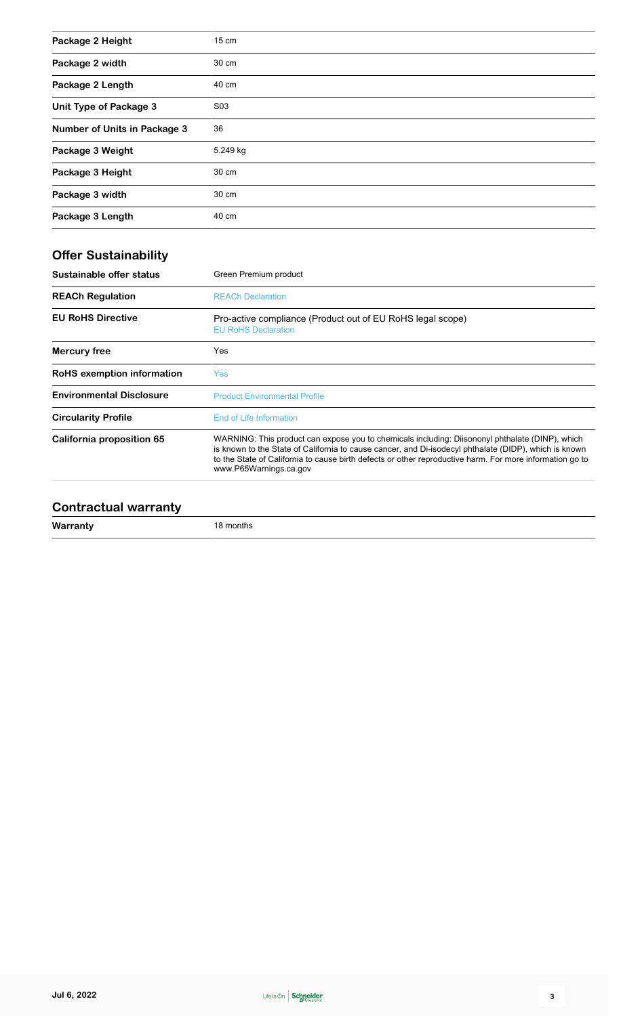| Package 2 Height             | 15 cm    |
|------------------------------|----------|
| Package 2 width              | 30 cm    |
| Package 2 Length             | 40 cm    |
| Unit Type of Package 3       | S03      |
| Number of Units in Package 3 | 36       |
| Package 3 Weight             | 5.249 kg |
| Package 3 Height             | 30 cm    |
| Package 3 width              | 30 cm    |
| Package 3 Length             | 40 cm    |

# **Offer Sustainability**

| Green Premium product                                                                                                                                                                                                                                                                                                                          |
|------------------------------------------------------------------------------------------------------------------------------------------------------------------------------------------------------------------------------------------------------------------------------------------------------------------------------------------------|
| <b>REACh Declaration</b>                                                                                                                                                                                                                                                                                                                       |
| Pro-active compliance (Product out of EU RoHS legal scope)<br><b>EU RoHS Declaration</b>                                                                                                                                                                                                                                                       |
| Yes                                                                                                                                                                                                                                                                                                                                            |
| Yes.                                                                                                                                                                                                                                                                                                                                           |
| <b>Product Environmental Profile</b>                                                                                                                                                                                                                                                                                                           |
| End of Life Information                                                                                                                                                                                                                                                                                                                        |
| WARNING: This product can expose you to chemicals including: Diisononyl phthalate (DINP), which<br>is known to the State of California to cause cancer, and Di-isodecyl phthalate (DIDP), which is known<br>to the State of California to cause birth defects or other reproductive harm. For more information go to<br>www.P65Warnings.ca.gov |
|                                                                                                                                                                                                                                                                                                                                                |

#### **Contractual warranty**

| $\sim$ as can $\cdots$ and |           |  |
|----------------------------|-----------|--|
| Warranty                   | 18 months |  |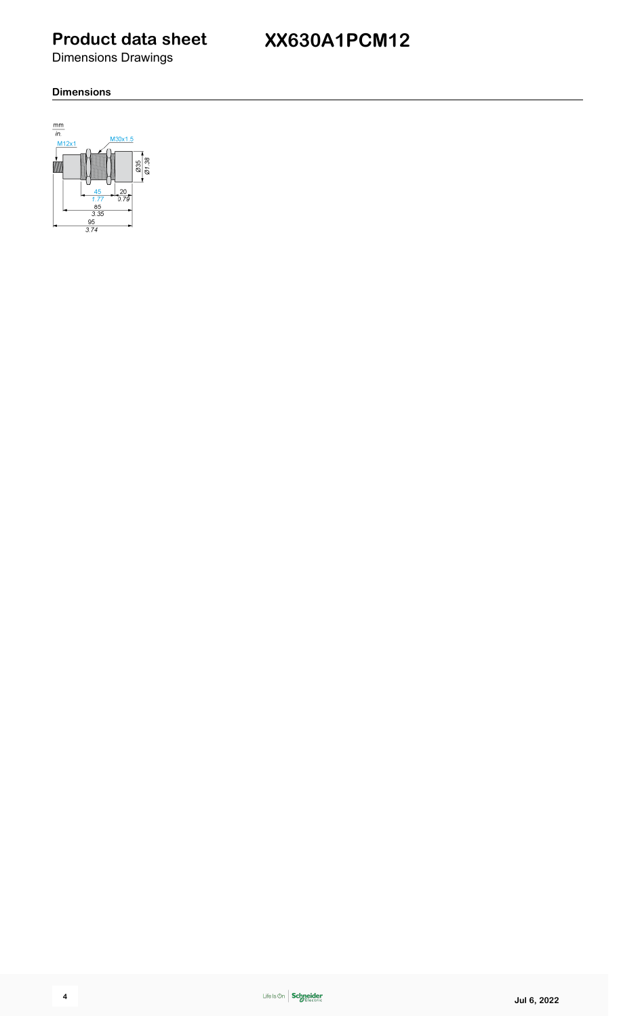Dimensions Drawings

# **XX630A1PCM12**

#### **Dimensions**

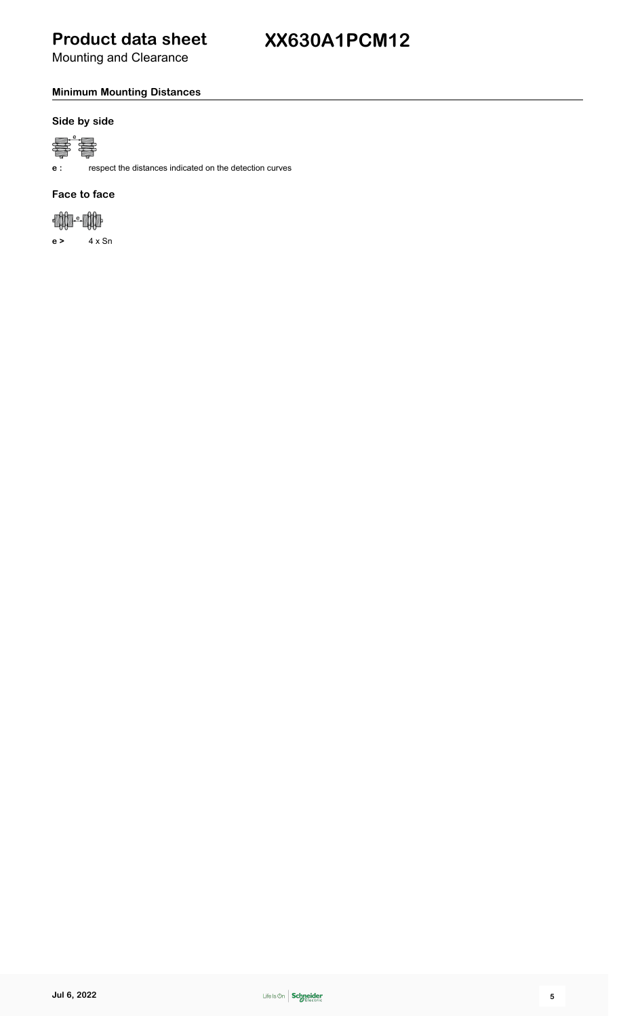Mounting and Clearance

#### **Minimum Mounting Distances**

#### **Side by side**



**e :** respect the distances indicated on the detection curves

#### **Face to face**



**e >** 4 x Sn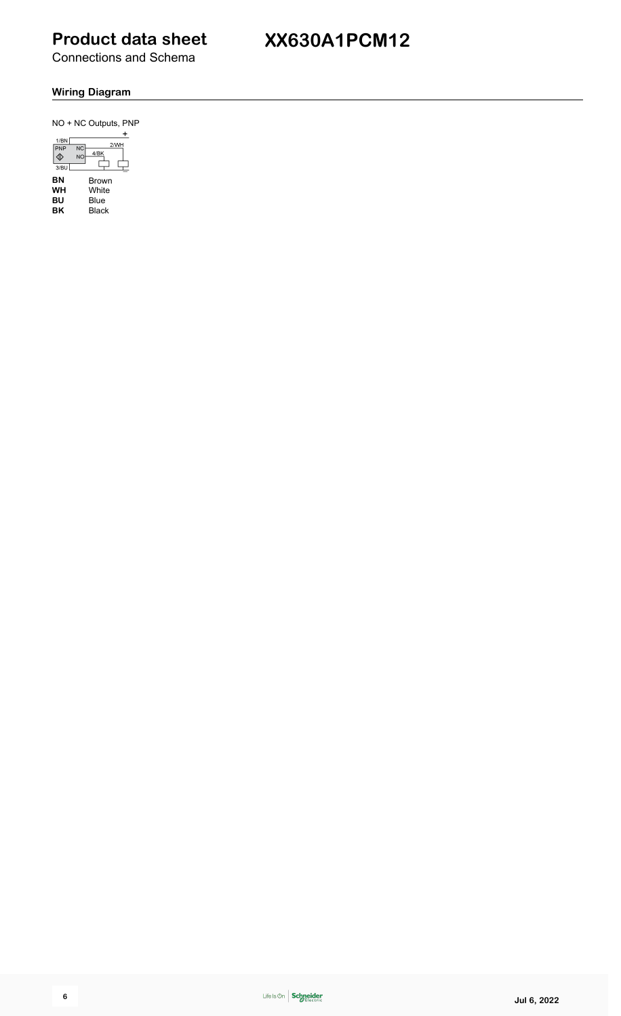Connections and Schema

# **XX630A1PCM12**

#### **Wiring Diagram**

 $NO + NC$  Outputs, PNP

| 1/B<br>PNP<br>3/BU | $2$ /Wh<br>WП. |
|--------------------|----------------|
| ΒN                 | Brown          |
| WH                 | White          |
| BU                 | Blue           |
| ΒK                 | Black          |